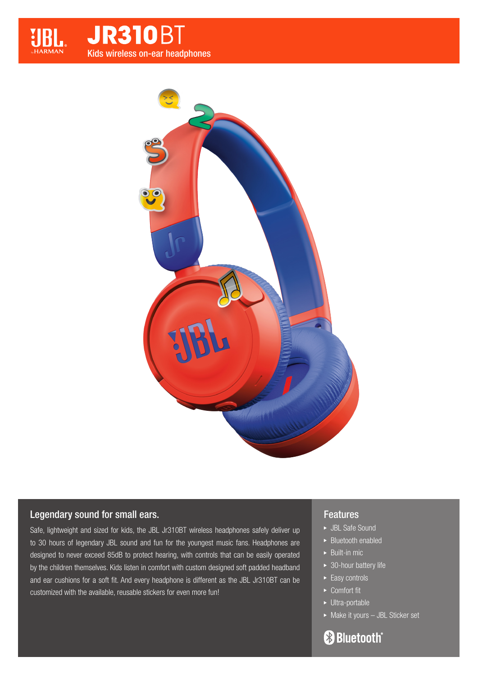



## Legendary sound for small ears.

Safe, lightweight and sized for kids, the JBL Jr310BT wireless headphones safely deliver up to 30 hours of legendary JBL sound and fun for the youngest music fans. Headphones are designed to never exceed 85dB to protect hearing, with controls that can be easily operated by the children themselves. Kids listen in comfort with custom designed soft padded headband and ear cushions for a soft fit. And every headphone is different as the JBL Jr310BT can be customized with the available, reusable stickers for even more fun!

## Features

- **>** JBL Safe Sound
- Bluetooth enabled
- $\triangleright$  Built-in mic
- ▶ 30-hour battery life
- $\blacktriangleright$  Easy controls
- ► Comfort fit
- ▶ Ultra-portable
- Make it yours JBL Sticker set

# **Bluetooth**®